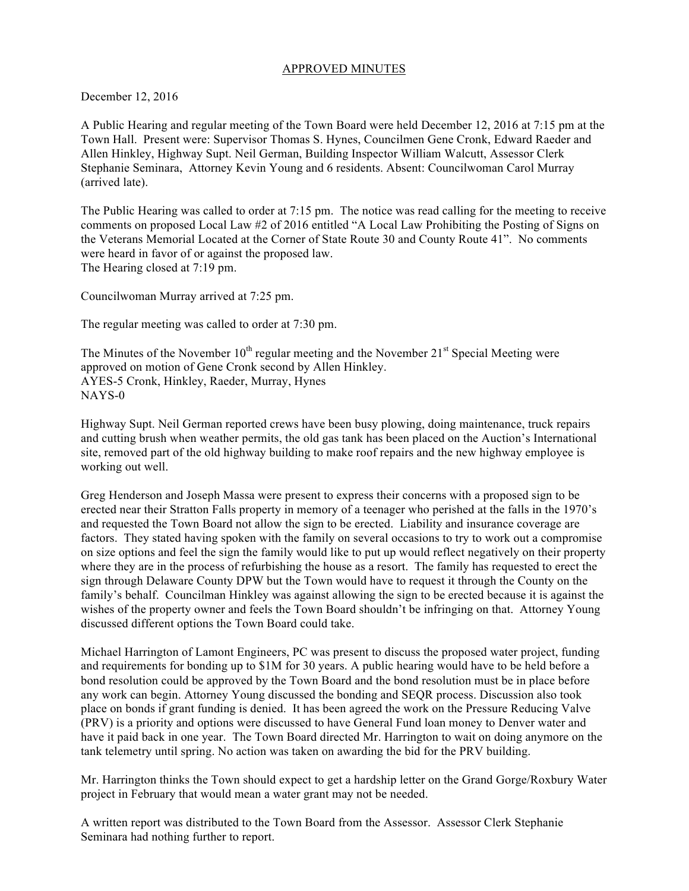### APPROVED MINUTES

December 12, 2016

A Public Hearing and regular meeting of the Town Board were held December 12, 2016 at 7:15 pm at the Town Hall. Present were: Supervisor Thomas S. Hynes, Councilmen Gene Cronk, Edward Raeder and Allen Hinkley, Highway Supt. Neil German, Building Inspector William Walcutt, Assessor Clerk Stephanie Seminara, Attorney Kevin Young and 6 residents. Absent: Councilwoman Carol Murray (arrived late).

The Public Hearing was called to order at 7:15 pm. The notice was read calling for the meeting to receive comments on proposed Local Law #2 of 2016 entitled "A Local Law Prohibiting the Posting of Signs on the Veterans Memorial Located at the Corner of State Route 30 and County Route 41". No comments were heard in favor of or against the proposed law. The Hearing closed at 7:19 pm.

Councilwoman Murray arrived at 7:25 pm.

The regular meeting was called to order at 7:30 pm.

The Minutes of the November  $10^{th}$  regular meeting and the November  $21^{st}$  Special Meeting were approved on motion of Gene Cronk second by Allen Hinkley. AYES-5 Cronk, Hinkley, Raeder, Murray, Hynes NAYS-0

Highway Supt. Neil German reported crews have been busy plowing, doing maintenance, truck repairs and cutting brush when weather permits, the old gas tank has been placed on the Auction's International site, removed part of the old highway building to make roof repairs and the new highway employee is working out well.

Greg Henderson and Joseph Massa were present to express their concerns with a proposed sign to be erected near their Stratton Falls property in memory of a teenager who perished at the falls in the 1970's and requested the Town Board not allow the sign to be erected. Liability and insurance coverage are factors. They stated having spoken with the family on several occasions to try to work out a compromise on size options and feel the sign the family would like to put up would reflect negatively on their property where they are in the process of refurbishing the house as a resort. The family has requested to erect the sign through Delaware County DPW but the Town would have to request it through the County on the family's behalf. Councilman Hinkley was against allowing the sign to be erected because it is against the wishes of the property owner and feels the Town Board shouldn't be infringing on that. Attorney Young discussed different options the Town Board could take.

Michael Harrington of Lamont Engineers, PC was present to discuss the proposed water project, funding and requirements for bonding up to \$1M for 30 years. A public hearing would have to be held before a bond resolution could be approved by the Town Board and the bond resolution must be in place before any work can begin. Attorney Young discussed the bonding and SEQR process. Discussion also took place on bonds if grant funding is denied. It has been agreed the work on the Pressure Reducing Valve (PRV) is a priority and options were discussed to have General Fund loan money to Denver water and have it paid back in one year. The Town Board directed Mr. Harrington to wait on doing anymore on the tank telemetry until spring. No action was taken on awarding the bid for the PRV building.

Mr. Harrington thinks the Town should expect to get a hardship letter on the Grand Gorge/Roxbury Water project in February that would mean a water grant may not be needed.

A written report was distributed to the Town Board from the Assessor. Assessor Clerk Stephanie Seminara had nothing further to report.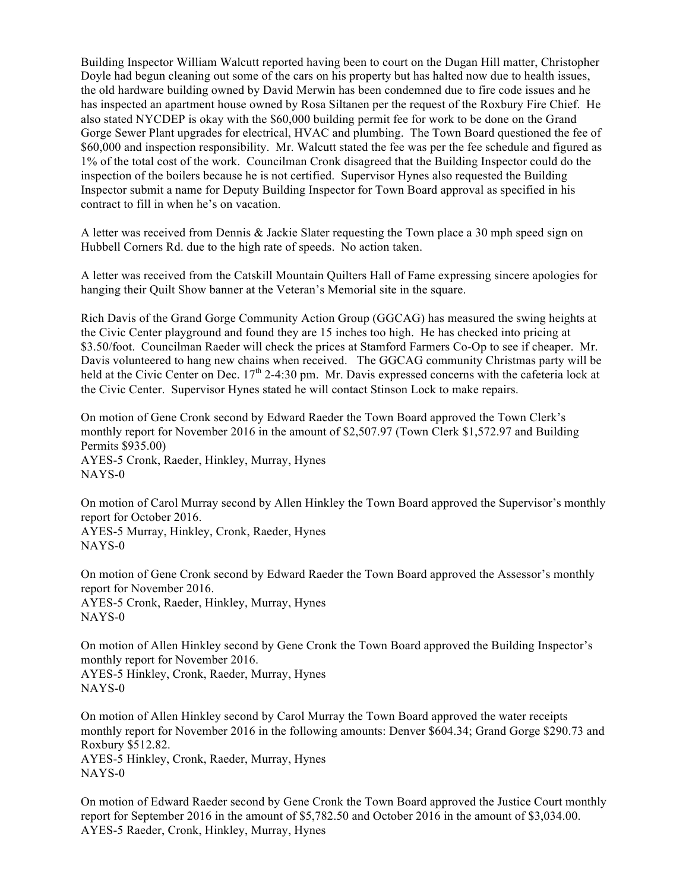Building Inspector William Walcutt reported having been to court on the Dugan Hill matter, Christopher Doyle had begun cleaning out some of the cars on his property but has halted now due to health issues, the old hardware building owned by David Merwin has been condemned due to fire code issues and he has inspected an apartment house owned by Rosa Siltanen per the request of the Roxbury Fire Chief. He also stated NYCDEP is okay with the \$60,000 building permit fee for work to be done on the Grand Gorge Sewer Plant upgrades for electrical, HVAC and plumbing. The Town Board questioned the fee of \$60,000 and inspection responsibility. Mr. Walcutt stated the fee was per the fee schedule and figured as 1% of the total cost of the work. Councilman Cronk disagreed that the Building Inspector could do the inspection of the boilers because he is not certified. Supervisor Hynes also requested the Building Inspector submit a name for Deputy Building Inspector for Town Board approval as specified in his contract to fill in when he's on vacation.

A letter was received from Dennis & Jackie Slater requesting the Town place a 30 mph speed sign on Hubbell Corners Rd. due to the high rate of speeds. No action taken.

A letter was received from the Catskill Mountain Quilters Hall of Fame expressing sincere apologies for hanging their Quilt Show banner at the Veteran's Memorial site in the square.

Rich Davis of the Grand Gorge Community Action Group (GGCAG) has measured the swing heights at the Civic Center playground and found they are 15 inches too high. He has checked into pricing at \$3.50/foot. Councilman Raeder will check the prices at Stamford Farmers Co-Op to see if cheaper. Mr. Davis volunteered to hang new chains when received. The GGCAG community Christmas party will be held at the Civic Center on Dec. 17<sup>th</sup> 2-4:30 pm. Mr. Davis expressed concerns with the cafeteria lock at the Civic Center. Supervisor Hynes stated he will contact Stinson Lock to make repairs.

On motion of Gene Cronk second by Edward Raeder the Town Board approved the Town Clerk's monthly report for November 2016 in the amount of \$2,507.97 (Town Clerk \$1,572.97 and Building Permits \$935.00) AYES-5 Cronk, Raeder, Hinkley, Murray, Hynes NAYS-0

On motion of Carol Murray second by Allen Hinkley the Town Board approved the Supervisor's monthly report for October 2016. AYES-5 Murray, Hinkley, Cronk, Raeder, Hynes NAYS-0

On motion of Gene Cronk second by Edward Raeder the Town Board approved the Assessor's monthly report for November 2016. AYES-5 Cronk, Raeder, Hinkley, Murray, Hynes NAYS-0

On motion of Allen Hinkley second by Gene Cronk the Town Board approved the Building Inspector's monthly report for November 2016. AYES-5 Hinkley, Cronk, Raeder, Murray, Hynes NAYS-0

On motion of Allen Hinkley second by Carol Murray the Town Board approved the water receipts monthly report for November 2016 in the following amounts: Denver \$604.34; Grand Gorge \$290.73 and Roxbury \$512.82. AYES-5 Hinkley, Cronk, Raeder, Murray, Hynes NAYS-0

On motion of Edward Raeder second by Gene Cronk the Town Board approved the Justice Court monthly report for September 2016 in the amount of \$5,782.50 and October 2016 in the amount of \$3,034.00. AYES-5 Raeder, Cronk, Hinkley, Murray, Hynes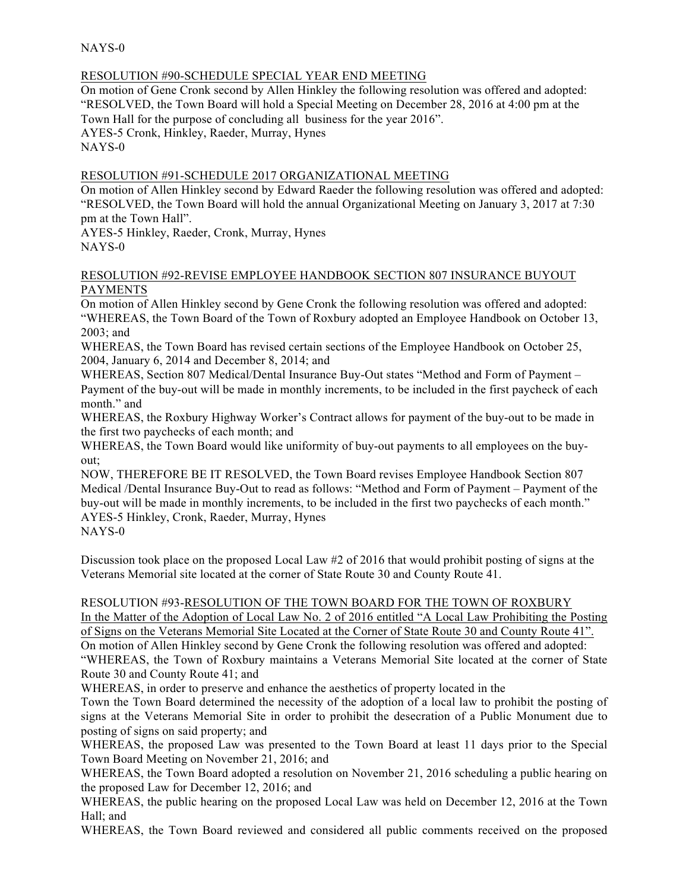NAYS-0

### RESOLUTION #90-SCHEDULE SPECIAL YEAR END MEETING

On motion of Gene Cronk second by Allen Hinkley the following resolution was offered and adopted: "RESOLVED, the Town Board will hold a Special Meeting on December 28, 2016 at 4:00 pm at the Town Hall for the purpose of concluding all business for the year 2016". AYES-5 Cronk, Hinkley, Raeder, Murray, Hynes NAYS-0

## RESOLUTION #91-SCHEDULE 2017 ORGANIZATIONAL MEETING

On motion of Allen Hinkley second by Edward Raeder the following resolution was offered and adopted: "RESOLVED, the Town Board will hold the annual Organizational Meeting on January 3, 2017 at 7:30 pm at the Town Hall".

AYES-5 Hinkley, Raeder, Cronk, Murray, Hynes NAYS-0

#### RESOLUTION #92-REVISE EMPLOYEE HANDBOOK SECTION 807 INSURANCE BUYOUT PAYMENTS

On motion of Allen Hinkley second by Gene Cronk the following resolution was offered and adopted: "WHEREAS, the Town Board of the Town of Roxbury adopted an Employee Handbook on October 13, 2003; and

WHEREAS, the Town Board has revised certain sections of the Employee Handbook on October 25, 2004, January 6, 2014 and December 8, 2014; and

WHEREAS, Section 807 Medical/Dental Insurance Buy-Out states "Method and Form of Payment – Payment of the buy-out will be made in monthly increments, to be included in the first paycheck of each month." and

WHEREAS, the Roxbury Highway Worker's Contract allows for payment of the buy-out to be made in the first two paychecks of each month; and

WHEREAS, the Town Board would like uniformity of buy-out payments to all employees on the buyout;

NOW, THEREFORE BE IT RESOLVED, the Town Board revises Employee Handbook Section 807 Medical /Dental Insurance Buy-Out to read as follows: "Method and Form of Payment – Payment of the buy-out will be made in monthly increments, to be included in the first two paychecks of each month." AYES-5 Hinkley, Cronk, Raeder, Murray, Hynes

NAYS-0

Discussion took place on the proposed Local Law #2 of 2016 that would prohibit posting of signs at the Veterans Memorial site located at the corner of State Route 30 and County Route 41.

# RESOLUTION #93-RESOLUTION OF THE TOWN BOARD FOR THE TOWN OF ROXBURY

In the Matter of the Adoption of Local Law No. 2 of 2016 entitled "A Local Law Prohibiting the Posting of Signs on the Veterans Memorial Site Located at the Corner of State Route 30 and County Route 41". On motion of Allen Hinkley second by Gene Cronk the following resolution was offered and adopted: "WHEREAS, the Town of Roxbury maintains a Veterans Memorial Site located at the corner of State Route 30 and County Route 41; and

WHEREAS, in order to preserve and enhance the aesthetics of property located in the

Town the Town Board determined the necessity of the adoption of a local law to prohibit the posting of signs at the Veterans Memorial Site in order to prohibit the desecration of a Public Monument due to posting of signs on said property; and

WHEREAS, the proposed Law was presented to the Town Board at least 11 days prior to the Special Town Board Meeting on November 21, 2016; and

WHEREAS, the Town Board adopted a resolution on November 21, 2016 scheduling a public hearing on the proposed Law for December 12, 2016; and

WHEREAS, the public hearing on the proposed Local Law was held on December 12, 2016 at the Town Hall; and

WHEREAS, the Town Board reviewed and considered all public comments received on the proposed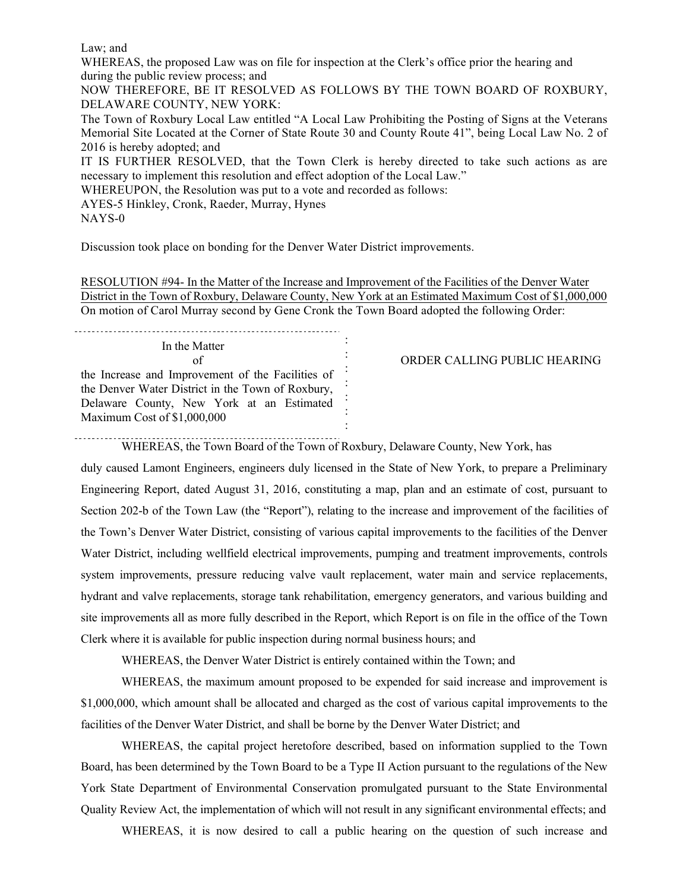Law; and

WHEREAS, the proposed Law was on file for inspection at the Clerk's office prior the hearing and during the public review process; and

NOW THEREFORE, BE IT RESOLVED AS FOLLOWS BY THE TOWN BOARD OF ROXBURY, DELAWARE COUNTY, NEW YORK:

The Town of Roxbury Local Law entitled "A Local Law Prohibiting the Posting of Signs at the Veterans Memorial Site Located at the Corner of State Route 30 and County Route 41", being Local Law No. 2 of 2016 is hereby adopted; and

IT IS FURTHER RESOLVED, that the Town Clerk is hereby directed to take such actions as are necessary to implement this resolution and effect adoption of the Local Law."

WHEREUPON, the Resolution was put to a vote and recorded as follows:

AYES-5 Hinkley, Cronk, Raeder, Murray, Hynes

NAYS-0

Discussion took place on bonding for the Denver Water District improvements.

RESOLUTION #94- In the Matter of the Increase and Improvement of the Facilities of the Denver Water District in the Town of Roxbury, Delaware County, New York at an Estimated Maximum Cost of \$1,000,000 On motion of Carol Murray second by Gene Cronk the Town Board adopted the following Order:

> : : : : : : :

In the Matter of the Increase and Improvement of the Facilities of the Denver Water District in the Town of Roxbury, Delaware County, New York at an Estimated Maximum Cost of \$1,000,000

#### ORDER CALLING PUBLIC HEARING

WHEREAS, the Town Board of the Town of Roxbury, Delaware County, New York, has

duly caused Lamont Engineers, engineers duly licensed in the State of New York, to prepare a Preliminary Engineering Report, dated August 31, 2016, constituting a map, plan and an estimate of cost, pursuant to Section 202-b of the Town Law (the "Report"), relating to the increase and improvement of the facilities of the Town's Denver Water District, consisting of various capital improvements to the facilities of the Denver Water District, including wellfield electrical improvements, pumping and treatment improvements, controls system improvements, pressure reducing valve vault replacement, water main and service replacements, hydrant and valve replacements, storage tank rehabilitation, emergency generators, and various building and site improvements all as more fully described in the Report, which Report is on file in the office of the Town Clerk where it is available for public inspection during normal business hours; and

WHEREAS, the Denver Water District is entirely contained within the Town; and

WHEREAS, the maximum amount proposed to be expended for said increase and improvement is \$1,000,000, which amount shall be allocated and charged as the cost of various capital improvements to the facilities of the Denver Water District, and shall be borne by the Denver Water District; and

WHEREAS, the capital project heretofore described, based on information supplied to the Town Board, has been determined by the Town Board to be a Type II Action pursuant to the regulations of the New York State Department of Environmental Conservation promulgated pursuant to the State Environmental Quality Review Act, the implementation of which will not result in any significant environmental effects; and

WHEREAS, it is now desired to call a public hearing on the question of such increase and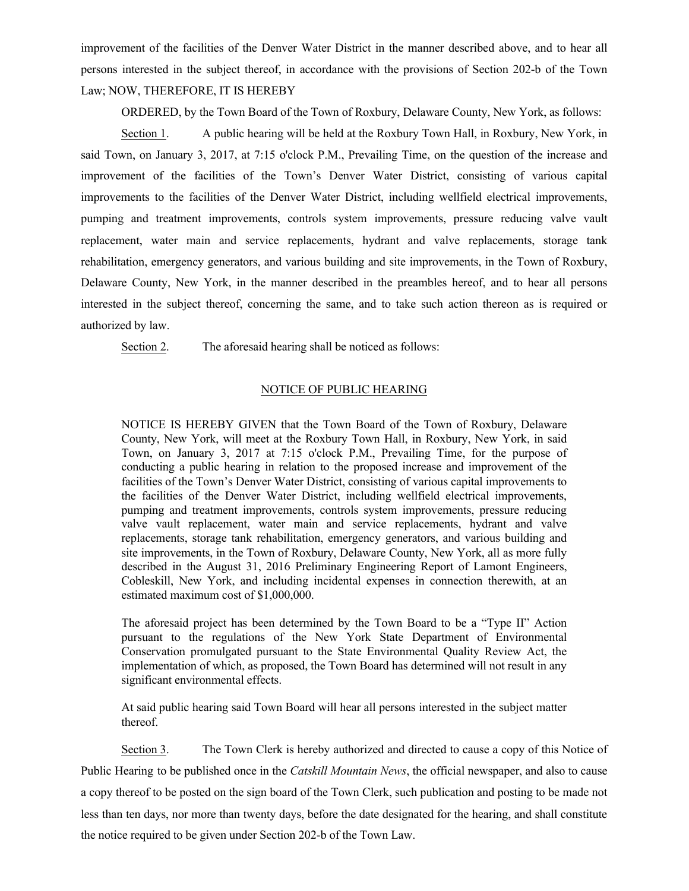improvement of the facilities of the Denver Water District in the manner described above, and to hear all persons interested in the subject thereof, in accordance with the provisions of Section 202-b of the Town Law; NOW, THEREFORE, IT IS HEREBY

ORDERED, by the Town Board of the Town of Roxbury, Delaware County, New York, as follows:

Section 1. A public hearing will be held at the Roxbury Town Hall, in Roxbury, New York, in said Town, on January 3, 2017, at 7:15 o'clock P.M., Prevailing Time, on the question of the increase and improvement of the facilities of the Town's Denver Water District, consisting of various capital improvements to the facilities of the Denver Water District, including wellfield electrical improvements, pumping and treatment improvements, controls system improvements, pressure reducing valve vault replacement, water main and service replacements, hydrant and valve replacements, storage tank rehabilitation, emergency generators, and various building and site improvements, in the Town of Roxbury, Delaware County, New York, in the manner described in the preambles hereof, and to hear all persons interested in the subject thereof, concerning the same, and to take such action thereon as is required or authorized by law.

Section 2. The aforesaid hearing shall be noticed as follows:

#### NOTICE OF PUBLIC HEARING

NOTICE IS HEREBY GIVEN that the Town Board of the Town of Roxbury, Delaware County, New York, will meet at the Roxbury Town Hall, in Roxbury, New York, in said Town, on January 3, 2017 at 7:15 o'clock P.M., Prevailing Time, for the purpose of conducting a public hearing in relation to the proposed increase and improvement of the facilities of the Town's Denver Water District, consisting of various capital improvements to the facilities of the Denver Water District, including wellfield electrical improvements, pumping and treatment improvements, controls system improvements, pressure reducing valve vault replacement, water main and service replacements, hydrant and valve replacements, storage tank rehabilitation, emergency generators, and various building and site improvements, in the Town of Roxbury, Delaware County, New York, all as more fully described in the August 31, 2016 Preliminary Engineering Report of Lamont Engineers, Cobleskill, New York, and including incidental expenses in connection therewith, at an estimated maximum cost of \$1,000,000.

The aforesaid project has been determined by the Town Board to be a "Type II" Action pursuant to the regulations of the New York State Department of Environmental Conservation promulgated pursuant to the State Environmental Quality Review Act, the implementation of which, as proposed, the Town Board has determined will not result in any significant environmental effects.

At said public hearing said Town Board will hear all persons interested in the subject matter thereof.

Section 3. The Town Clerk is hereby authorized and directed to cause a copy of this Notice of Public Hearing to be published once in the *Catskill Mountain News*, the official newspaper, and also to cause a copy thereof to be posted on the sign board of the Town Clerk, such publication and posting to be made not less than ten days, nor more than twenty days, before the date designated for the hearing, and shall constitute the notice required to be given under Section 202-b of the Town Law.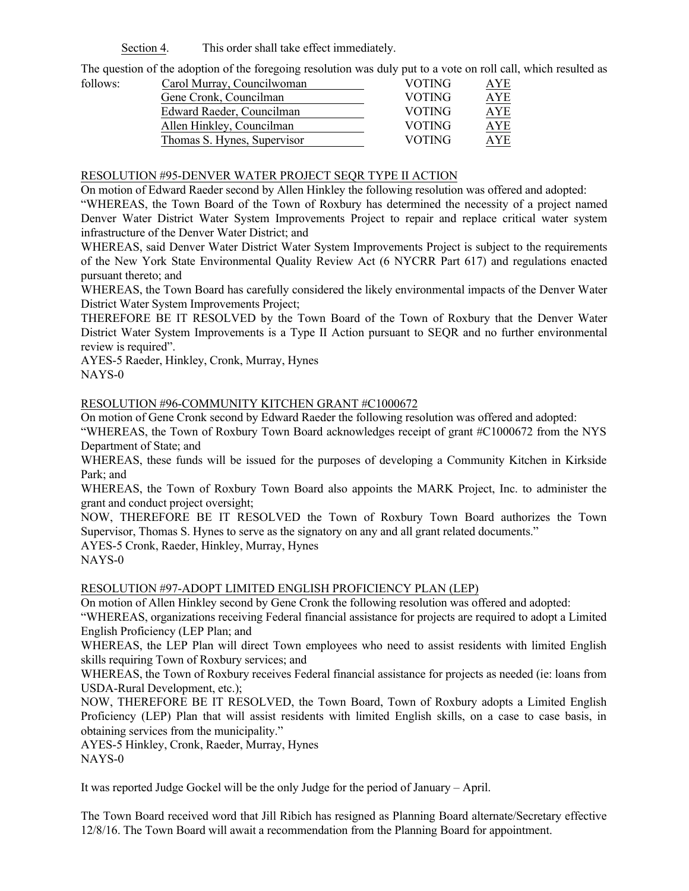Section 4. This order shall take effect immediately.

The question of the adoption of the foregoing resolution was duly put to a vote on roll call, which resulted as

| follows: | Carol Murray, Councilwoman  | <b>VOTING</b> | AYE        |
|----------|-----------------------------|---------------|------------|
|          | Gene Cronk, Councilman      | <b>VOTING</b> | <b>AYE</b> |
|          | Edward Raeder, Councilman   | <b>VOTING</b> | <b>AYE</b> |
|          | Allen Hinkley, Councilman   | <b>VOTING</b> | AYE        |
|          | Thomas S. Hynes, Supervisor | <b>VOTING</b> | AYE        |

#### RESOLUTION #95-DENVER WATER PROJECT SEQR TYPE II ACTION

On motion of Edward Raeder second by Allen Hinkley the following resolution was offered and adopted:

"WHEREAS, the Town Board of the Town of Roxbury has determined the necessity of a project named Denver Water District Water System Improvements Project to repair and replace critical water system infrastructure of the Denver Water District; and

WHEREAS, said Denver Water District Water System Improvements Project is subject to the requirements of the New York State Environmental Quality Review Act (6 NYCRR Part 617) and regulations enacted pursuant thereto; and

WHEREAS, the Town Board has carefully considered the likely environmental impacts of the Denver Water District Water System Improvements Project;

THEREFORE BE IT RESOLVED by the Town Board of the Town of Roxbury that the Denver Water District Water System Improvements is a Type II Action pursuant to SEQR and no further environmental review is required".

AYES-5 Raeder, Hinkley, Cronk, Murray, Hynes NAYS-0

#### RESOLUTION #96-COMMUNITY KITCHEN GRANT #C1000672

On motion of Gene Cronk second by Edward Raeder the following resolution was offered and adopted:

"WHEREAS, the Town of Roxbury Town Board acknowledges receipt of grant #C1000672 from the NYS Department of State; and

WHEREAS, these funds will be issued for the purposes of developing a Community Kitchen in Kirkside Park; and

WHEREAS, the Town of Roxbury Town Board also appoints the MARK Project, Inc. to administer the grant and conduct project oversight;

NOW, THEREFORE BE IT RESOLVED the Town of Roxbury Town Board authorizes the Town Supervisor, Thomas S. Hynes to serve as the signatory on any and all grant related documents."

AYES-5 Cronk, Raeder, Hinkley, Murray, Hynes NAYS-0

#### RESOLUTION #97-ADOPT LIMITED ENGLISH PROFICIENCY PLAN (LEP)

On motion of Allen Hinkley second by Gene Cronk the following resolution was offered and adopted:

"WHEREAS, organizations receiving Federal financial assistance for projects are required to adopt a Limited English Proficiency (LEP Plan; and

WHEREAS, the LEP Plan will direct Town employees who need to assist residents with limited English skills requiring Town of Roxbury services; and

WHEREAS, the Town of Roxbury receives Federal financial assistance for projects as needed (ie: loans from USDA-Rural Development, etc.);

NOW, THEREFORE BE IT RESOLVED, the Town Board, Town of Roxbury adopts a Limited English Proficiency (LEP) Plan that will assist residents with limited English skills, on a case to case basis, in obtaining services from the municipality."

AYES-5 Hinkley, Cronk, Raeder, Murray, Hynes NAYS-0

It was reported Judge Gockel will be the only Judge for the period of January – April.

The Town Board received word that Jill Ribich has resigned as Planning Board alternate/Secretary effective 12/8/16. The Town Board will await a recommendation from the Planning Board for appointment.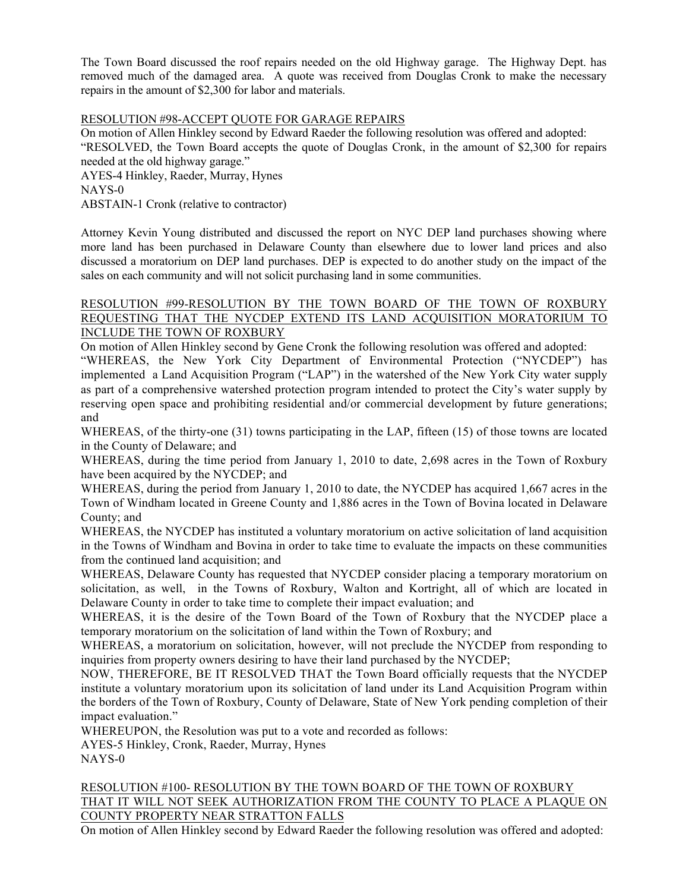The Town Board discussed the roof repairs needed on the old Highway garage. The Highway Dept. has removed much of the damaged area. A quote was received from Douglas Cronk to make the necessary repairs in the amount of \$2,300 for labor and materials.

### RESOLUTION #98-ACCEPT QUOTE FOR GARAGE REPAIRS

On motion of Allen Hinkley second by Edward Raeder the following resolution was offered and adopted: "RESOLVED, the Town Board accepts the quote of Douglas Cronk, in the amount of \$2,300 for repairs needed at the old highway garage."

AYES-4 Hinkley, Raeder, Murray, Hynes NAYS-0 ABSTAIN-1 Cronk (relative to contractor)

Attorney Kevin Young distributed and discussed the report on NYC DEP land purchases showing where more land has been purchased in Delaware County than elsewhere due to lower land prices and also discussed a moratorium on DEP land purchases. DEP is expected to do another study on the impact of the sales on each community and will not solicit purchasing land in some communities.

### RESOLUTION #99-RESOLUTION BY THE TOWN BOARD OF THE TOWN OF ROXBURY REQUESTING THAT THE NYCDEP EXTEND ITS LAND ACQUISITION MORATORIUM TO INCLUDE THE TOWN OF ROXBURY

On motion of Allen Hinkley second by Gene Cronk the following resolution was offered and adopted: "WHEREAS, the New York City Department of Environmental Protection ("NYCDEP") has implemented a Land Acquisition Program ("LAP") in the watershed of the New York City water supply as part of a comprehensive watershed protection program intended to protect the City's water supply by reserving open space and prohibiting residential and/or commercial development by future generations; and

WHEREAS, of the thirty-one (31) towns participating in the LAP, fifteen (15) of those towns are located in the County of Delaware; and

WHEREAS, during the time period from January 1, 2010 to date, 2,698 acres in the Town of Roxbury have been acquired by the NYCDEP; and

WHEREAS, during the period from January 1, 2010 to date, the NYCDEP has acquired 1,667 acres in the Town of Windham located in Greene County and 1,886 acres in the Town of Bovina located in Delaware County; and

WHEREAS, the NYCDEP has instituted a voluntary moratorium on active solicitation of land acquisition in the Towns of Windham and Bovina in order to take time to evaluate the impacts on these communities from the continued land acquisition; and

WHEREAS, Delaware County has requested that NYCDEP consider placing a temporary moratorium on solicitation, as well, in the Towns of Roxbury, Walton and Kortright, all of which are located in Delaware County in order to take time to complete their impact evaluation; and

WHEREAS, it is the desire of the Town Board of the Town of Roxbury that the NYCDEP place a temporary moratorium on the solicitation of land within the Town of Roxbury; and

WHEREAS, a moratorium on solicitation, however, will not preclude the NYCDEP from responding to inquiries from property owners desiring to have their land purchased by the NYCDEP;

NOW, THEREFORE, BE IT RESOLVED THAT the Town Board officially requests that the NYCDEP institute a voluntary moratorium upon its solicitation of land under its Land Acquisition Program within the borders of the Town of Roxbury, County of Delaware, State of New York pending completion of their impact evaluation."

WHEREUPON, the Resolution was put to a vote and recorded as follows:

AYES-5 Hinkley, Cronk, Raeder, Murray, Hynes NAYS-0

# RESOLUTION #100- RESOLUTION BY THE TOWN BOARD OF THE TOWN OF ROXBURY THAT IT WILL NOT SEEK AUTHORIZATION FROM THE COUNTY TO PLACE A PLAQUE ON COUNTY PROPERTY NEAR STRATTON FALLS

On motion of Allen Hinkley second by Edward Raeder the following resolution was offered and adopted: